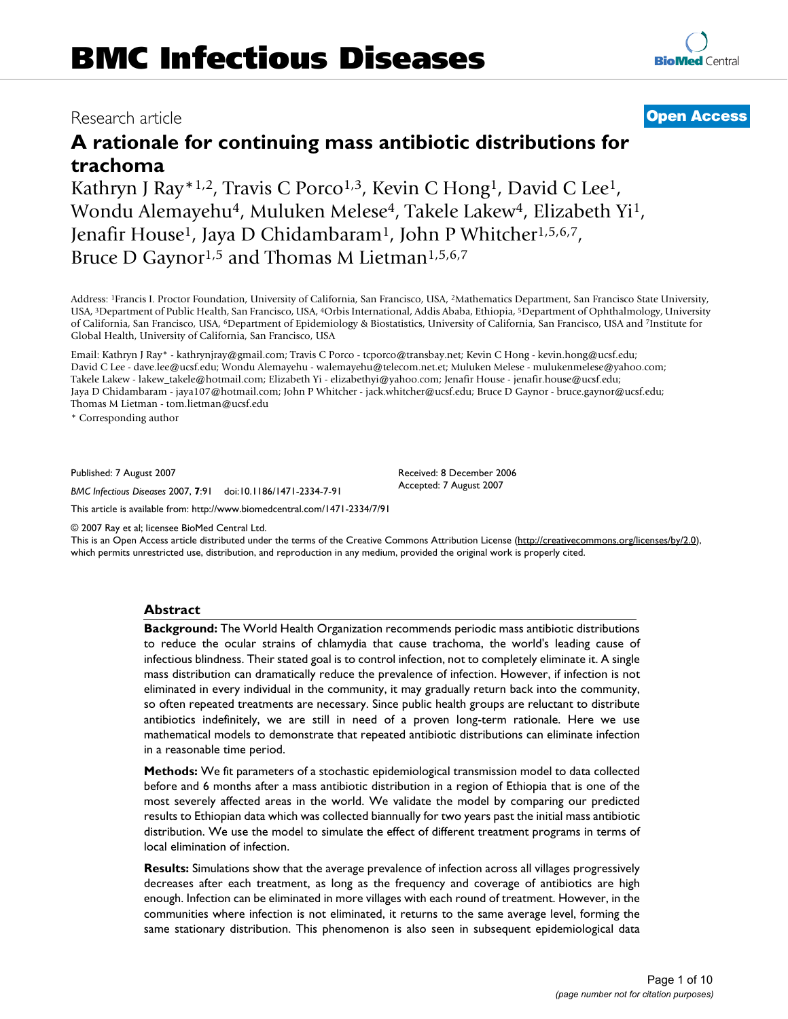# Research article **[Open Access](http://www.biomedcentral.com/info/about/charter/)**

# **A rationale for continuing mass antibiotic distributions for trachoma**

Kathryn J Ray<sup>\*1,2</sup>, Travis C Porco<sup>1,3</sup>, Kevin C Hong<sup>1</sup>, David C Lee<sup>1</sup>, Wondu Alemayehu4, Muluken Melese4, Takele Lakew4, Elizabeth Yi1, Jenafir House1, Jaya D Chidambaram1, John P Whitcher1,5,6,7, Bruce D Gaynor<sup>1,5</sup> and Thomas M Lietman<sup>1,5,6,7</sup>

Address: 1Francis I. Proctor Foundation, University of California, San Francisco, USA, 2Mathematics Department, San Francisco State University, USA, 3Department of Public Health, San Francisco, USA, 4Orbis International, Addis Ababa, Ethiopia, 5Department of Ophthalmology, University of California, San Francisco, USA, 6Department of Epidemiology & Biostatistics, University of California, San Francisco, USA and 7Institute for Global Health, University of California, San Francisco, USA

Email: Kathryn J Ray\* - kathrynjray@gmail.com; Travis C Porco - tcporco@transbay.net; Kevin C Hong - kevin.hong@ucsf.edu; David C Lee - dave.lee@ucsf.edu; Wondu Alemayehu - walemayehu@telecom.net.et; Muluken Melese - mulukenmelese@yahoo.com; Takele Lakew - lakew\_takele@hotmail.com; Elizabeth Yi - elizabethyi@yahoo.com; Jenafir House - jenafir.house@ucsf.edu; Jaya D Chidambaram - jaya107@hotmail.com; John P Whitcher - jack.whitcher@ucsf.edu; Bruce D Gaynor - bruce.gaynor@ucsf.edu; Thomas M Lietman - tom.lietman@ucsf.edu

\* Corresponding author

Published: 7 August 2007

*BMC Infectious Diseases* 2007, **7**:91 doi:10.1186/1471-2334-7-91

Accepted: 7 August 2007

Received: 8 December 2006

[This article is available from: http://www.biomedcentral.com/1471-2334/7/91](http://www.biomedcentral.com/1471-2334/7/91)

© 2007 Ray et al; licensee BioMed Central Ltd.

This is an Open Access article distributed under the terms of the Creative Commons Attribution License [\(http://creativecommons.org/licenses/by/2.0\)](http://creativecommons.org/licenses/by/2.0), which permits unrestricted use, distribution, and reproduction in any medium, provided the original work is properly cited.

# **Abstract**

**Background:** The World Health Organization recommends periodic mass antibiotic distributions to reduce the ocular strains of chlamydia that cause trachoma, the world's leading cause of infectious blindness. Their stated goal is to control infection, not to completely eliminate it. A single mass distribution can dramatically reduce the prevalence of infection. However, if infection is not eliminated in every individual in the community, it may gradually return back into the community, so often repeated treatments are necessary. Since public health groups are reluctant to distribute antibiotics indefinitely, we are still in need of a proven long-term rationale. Here we use mathematical models to demonstrate that repeated antibiotic distributions can eliminate infection in a reasonable time period.

**Methods:** We fit parameters of a stochastic epidemiological transmission model to data collected before and 6 months after a mass antibiotic distribution in a region of Ethiopia that is one of the most severely affected areas in the world. We validate the model by comparing our predicted results to Ethiopian data which was collected biannually for two years past the initial mass antibiotic distribution. We use the model to simulate the effect of different treatment programs in terms of local elimination of infection.

**Results:** Simulations show that the average prevalence of infection across all villages progressively decreases after each treatment, as long as the frequency and coverage of antibiotics are high enough. Infection can be eliminated in more villages with each round of treatment. However, in the communities where infection is not eliminated, it returns to the same average level, forming the same stationary distribution. This phenomenon is also seen in subsequent epidemiological data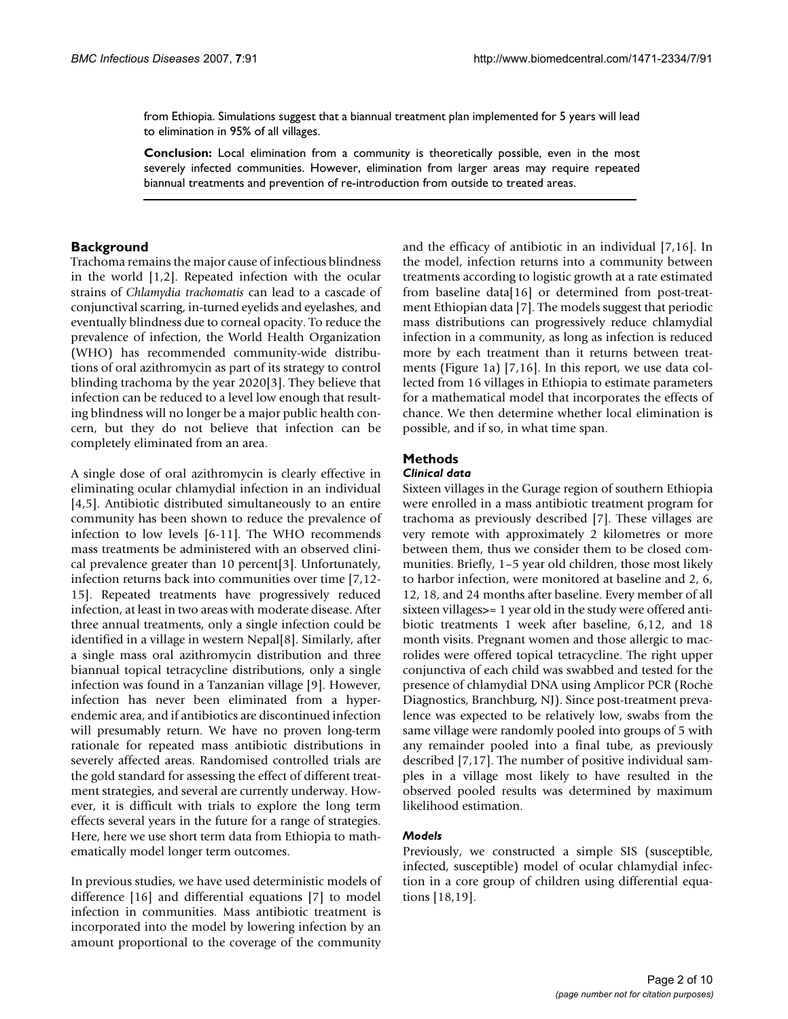from Ethiopia. Simulations suggest that a biannual treatment plan implemented for 5 years will lead to elimination in 95% of all villages.

**Conclusion:** Local elimination from a community is theoretically possible, even in the most severely infected communities. However, elimination from larger areas may require repeated biannual treatments and prevention of re-introduction from outside to treated areas.

# **Background**

Trachoma remains the major cause of infectious blindness in the world [1,2]. Repeated infection with the ocular strains of *Chlamydia trachomatis* can lead to a cascade of conjunctival scarring, in-turned eyelids and eyelashes, and eventually blindness due to corneal opacity. To reduce the prevalence of infection, the World Health Organization (WHO) has recommended community-wide distributions of oral azithromycin as part of its strategy to control blinding trachoma by the year 2020[3]. They believe that infection can be reduced to a level low enough that resulting blindness will no longer be a major public health concern, but they do not believe that infection can be completely eliminated from an area.

A single dose of oral azithromycin is clearly effective in eliminating ocular chlamydial infection in an individual [4,5]. Antibiotic distributed simultaneously to an entire community has been shown to reduce the prevalence of infection to low levels [6-11]. The WHO recommends mass treatments be administered with an observed clinical prevalence greater than 10 percent[3]. Unfortunately, infection returns back into communities over time [7,12- 15]. Repeated treatments have progressively reduced infection, at least in two areas with moderate disease. After three annual treatments, only a single infection could be identified in a village in western Nepal[8]. Similarly, after a single mass oral azithromycin distribution and three biannual topical tetracycline distributions, only a single infection was found in a Tanzanian village [9]. However, infection has never been eliminated from a hyperendemic area, and if antibiotics are discontinued infection will presumably return. We have no proven long-term rationale for repeated mass antibiotic distributions in severely affected areas. Randomised controlled trials are the gold standard for assessing the effect of different treatment strategies, and several are currently underway. However, it is difficult with trials to explore the long term effects several years in the future for a range of strategies. Here, here we use short term data from Ethiopia to mathematically model longer term outcomes.

In previous studies, we have used deterministic models of difference [16] and differential equations [7] to model infection in communities. Mass antibiotic treatment is incorporated into the model by lowering infection by an amount proportional to the coverage of the community and the efficacy of antibiotic in an individual [7,16]. In the model, infection returns into a community between treatments according to logistic growth at a rate estimated from baseline data[16] or determined from post-treatment Ethiopian data [7]. The models suggest that periodic mass distributions can progressively reduce chlamydial infection in a community, as long as infection is reduced more by each treatment than it returns between treatments (Figure 1a) [7,16]. In this report, we use data collected from 16 villages in Ethiopia to estimate parameters for a mathematical model that incorporates the effects of chance. We then determine whether local elimination is possible, and if so, in what time span.

# **Methods**

# *Clinical data*

Sixteen villages in the Gurage region of southern Ethiopia were enrolled in a mass antibiotic treatment program for trachoma as previously described [7]. These villages are very remote with approximately 2 kilometres or more between them, thus we consider them to be closed communities. Briefly, 1–5 year old children, those most likely to harbor infection, were monitored at baseline and 2, 6, 12, 18, and 24 months after baseline. Every member of all sixteen villages>= 1 year old in the study were offered antibiotic treatments 1 week after baseline, 6,12, and 18 month visits. Pregnant women and those allergic to macrolides were offered topical tetracycline. The right upper conjunctiva of each child was swabbed and tested for the presence of chlamydial DNA using Amplicor PCR (Roche Diagnostics, Branchburg, NJ). Since post-treatment prevalence was expected to be relatively low, swabs from the same village were randomly pooled into groups of 5 with any remainder pooled into a final tube, as previously described [7,17]. The number of positive individual samples in a village most likely to have resulted in the observed pooled results was determined by maximum likelihood estimation.

# *Models*

Previously, we constructed a simple SIS (susceptible, infected, susceptible) model of ocular chlamydial infection in a core group of children using differential equations [18,19].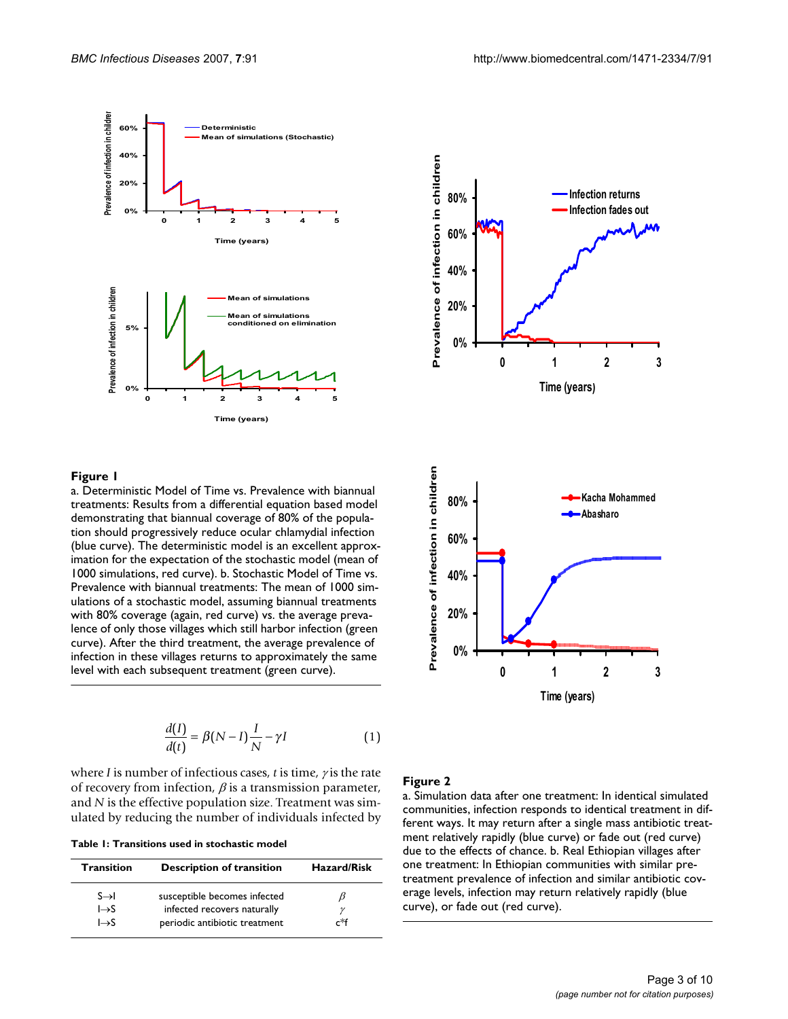

#### Figure I

a. Deterministic Model of Time vs. Prevalence with biannual treatments: Results from a differential equation based model demonstrating that biannual coverage of 80% of the population should progressively reduce ocular chlamydial infection (blue curve). The deterministic model is an excellent approximation for the expectation of the stochastic model (mean of 1000 simulations, red curve). b. Stochastic Model of Time vs. Prevalence with biannual treatments: The mean of 1000 simulations of a stochastic model, assuming biannual treatments with 80% coverage (again, red curve) vs. the average prevalence of only those villages which still harbor infection (green curve). After the third treatment, the average prevalence of infection in these villages returns to approximately the same level with each subsequent treatment (green curve).

$$
\frac{d(I)}{d(t)} = \beta(N - I)\frac{I}{N} - \gamma I \tag{1}
$$

where *I* is number of infectious cases, *t* is time, <sup>γ</sup> is the rate of recovery from infection,  $\beta$  is a transmission parameter, and *N* is the effective population size. Treatment was simulated by reducing the number of individuals infected by

**Table 1: Transitions used in stochastic model**

| <b>Transition</b> | <b>Description of transition</b> | <b>Hazard/Risk</b> |  |
|-------------------|----------------------------------|--------------------|--|
| $S \rightarrow I$ | susceptible becomes infected     |                    |  |
| $l\rightarrow S$  | infected recovers naturally      |                    |  |
| $\rightarrow$ S   | periodic antibiotic treatment    | r*f                |  |



### Figure 2

a. Simulation data after one treatment: In identical simulated communities, infection responds to identical treatment in different ways. It may return after a single mass antibiotic treatment relatively rapidly (blue curve) or fade out (red curve) due to the effects of chance. b. Real Ethiopian villages after one treatment: In Ethiopian communities with similar pretreatment prevalence of infection and similar antibiotic coverage levels, infection may return relatively rapidly (blue curve), or fade out (red curve).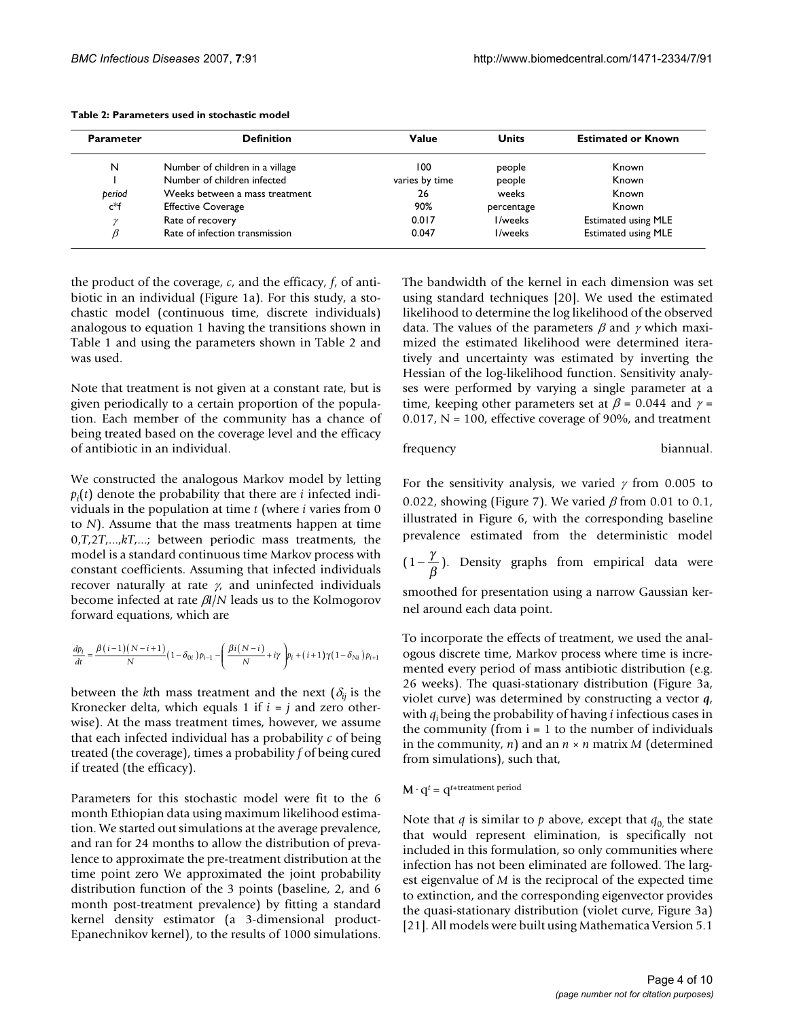| <b>Parameter</b>                     | <b>Definition</b>              | Value          | <b>Units</b> | <b>Estimated or Known</b>  |
|--------------------------------------|--------------------------------|----------------|--------------|----------------------------|
| N<br>Number of children in a village |                                | 100            | people       | Known                      |
|                                      | Number of children infected    | varies by time | people       | Known                      |
| beriod                               | Weeks between a mass treatment | 26             | weeks        | Known                      |
| c*f                                  | <b>Effective Coverage</b>      | 90%            | percentage   | Known                      |
|                                      | Rate of recovery               | 0.017          | I/weeks      | <b>Estimated using MLE</b> |
|                                      | Rate of infection transmission | 0.047          | I/weeks      | <b>Estimated using MLE</b> |

#### **Table 2: Parameters used in stochastic model**

the product of the coverage, *c*, and the efficacy, *f*, of antibiotic in an individual (Figure 1a). For this study, a stochastic model (continuous time, discrete individuals) analogous to equation 1 having the transitions shown in Table 1 and using the parameters shown in Table 2 and was used.

Note that treatment is not given at a constant rate, but is given periodically to a certain proportion of the population. Each member of the community has a chance of being treated based on the coverage level and the efficacy of antibiotic in an individual.

We constructed the analogous Markov model by letting *pi* (*t*) denote the probability that there are *i* infected individuals in the population at time *t* (where *i* varies from 0 to *N*). Assume that the mass treatments happen at time 0,*T*,2*T*,...,*kT*,...; between periodic mass treatments, the model is a standard continuous time Markov process with constant coefficients. Assuming that infected individuals recover naturally at rate  $\gamma$ , and uninfected individuals become infected at rate β*I*/*N* leads us to the Kolmogorov forward equations, which are

$$
\frac{dp_i}{dt} = \frac{\beta(i-1)\big(N-i+1\big)}{N}\big(1-\delta_{0i}\big)p_{i-1} - \Bigg(\frac{\beta i\big(N-i\big)}{N} + i\gamma\Bigg)p_i + \big(i+1\big)\gamma\big(1-\delta_{Ni}\big)p_{i+1}
$$

between the *k*th mass treatment and the next ( $\delta_{ij}$  is the Kronecker delta, which equals 1 if  $i = j$  and zero otherwise). At the mass treatment times, however, we assume that each infected individual has a probability *c* of being treated (the coverage), times a probability *f* of being cured if treated (the efficacy).

Parameters for this stochastic model were fit to the 6 month Ethiopian data using maximum likelihood estimation. We started out simulations at the average prevalence, and ran for 24 months to allow the distribution of prevalence to approximate the pre-treatment distribution at the time point zero We approximated the joint probability distribution function of the 3 points (baseline, 2, and 6 month post-treatment prevalence) by fitting a standard kernel density estimator (a 3-dimensional product-Epanechnikov kernel), to the results of 1000 simulations.

The bandwidth of the kernel in each dimension was set using standard techniques [20]. We used the estimated likelihood to determine the log likelihood of the observed data. The values of the parameters  $\beta$  and  $\gamma$  which maximized the estimated likelihood were determined iteratively and uncertainty was estimated by inverting the Hessian of the log-likelihood function. Sensitivity analyses were performed by varying a single parameter at a time, keeping other parameters set at  $\beta$  = 0.044 and  $\gamma$  = 0.017,  $N = 100$ , effective coverage of 90%, and treatment

#### frequency biannual.

For the sensitivity analysis, we varied  $\gamma$  from 0.005 to 0.022, showing (Figure 7). We varied  $\beta$  from 0.01 to 0.1, illustrated in Figure 6, with the corresponding baseline prevalence estimated from the deterministic model

 $(1-\frac{\gamma}{\beta})$ . Density graphs from empirical data were

smoothed for presentation using a narrow Gaussian kernel around each data point.

To incorporate the effects of treatment, we used the analogous discrete time, Markov process where time is incremented every period of mass antibiotic distribution (e.g. 26 weeks). The quasi-stationary distribution (Figure 3a, violet curve) was determined by constructing a vector *q*, with *qi* being the probability of having *i* infectious cases in the community (from  $i = 1$  to the number of individuals in the community, *n*) and an *n* × *n* matrix *M* (determined from simulations), such that,

 $M \cdot q^t = q^{t + \text{treatment period}}$ 

Note that *q* is similar to *p* above, except that  $q_0$  the state that would represent elimination, is specifically not included in this formulation, so only communities where infection has not been eliminated are followed. The largest eigenvalue of *M* is the reciprocal of the expected time to extinction, and the corresponding eigenvector provides the quasi-stationary distribution (violet curve, Figure 3a) [21]. All models were built using Mathematica Version 5.1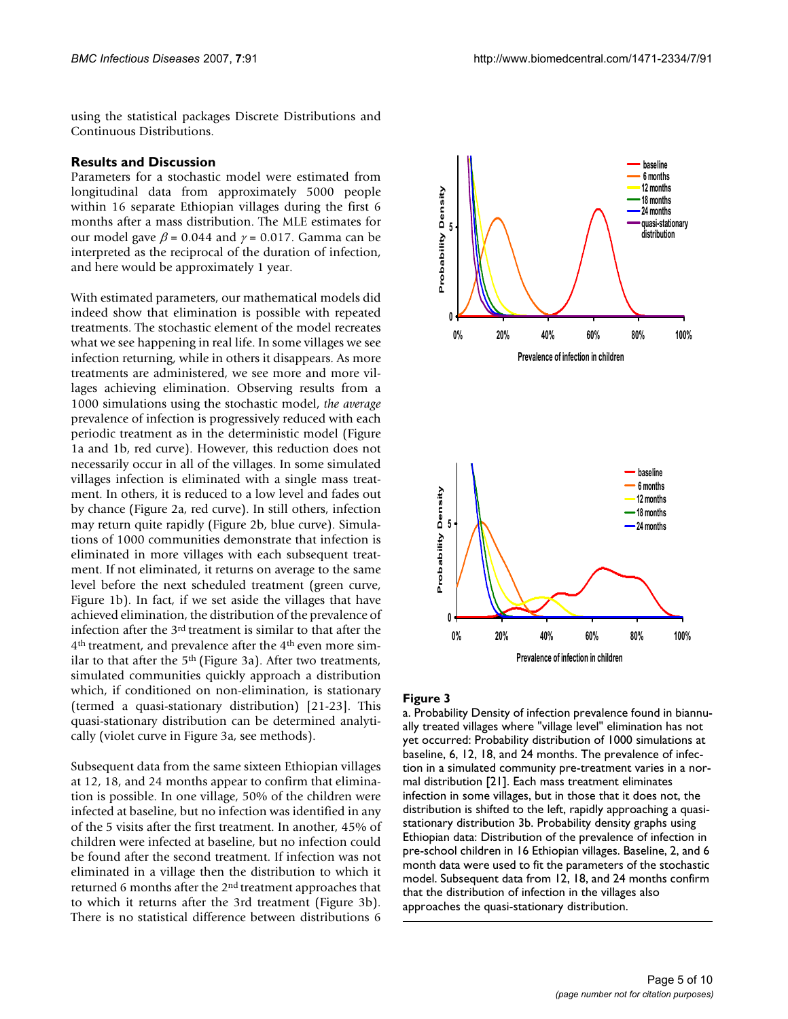using the statistical packages Discrete Distributions and Continuous Distributions.

# **Results and Discussion**

Parameters for a stochastic model were estimated from longitudinal data from approximately 5000 people within 16 separate Ethiopian villages during the first 6 months after a mass distribution. The MLE estimates for our model gave  $\beta$  = 0.044 and  $\gamma$  = 0.017. Gamma can be interpreted as the reciprocal of the duration of infection, and here would be approximately 1 year.

With estimated parameters, our mathematical models did indeed show that elimination is possible with repeated treatments. The stochastic element of the model recreates what we see happening in real life. In some villages we see infection returning, while in others it disappears. As more treatments are administered, we see more and more villages achieving elimination. Observing results from a 1000 simulations using the stochastic model, *the average* prevalence of infection is progressively reduced with each periodic treatment as in the deterministic model (Figure 1a and 1b, red curve). However, this reduction does not necessarily occur in all of the villages. In some simulated villages infection is eliminated with a single mass treatment. In others, it is reduced to a low level and fades out by chance (Figure 2a, red curve). In still others, infection may return quite rapidly (Figure 2b, blue curve). Simulations of 1000 communities demonstrate that infection is eliminated in more villages with each subsequent treatment. If not eliminated, it returns on average to the same level before the next scheduled treatment (green curve, Figure 1b). In fact, if we set aside the villages that have achieved elimination, the distribution of the prevalence of infection after the 3rd treatment is similar to that after the 4th treatment, and prevalence after the 4th even more similar to that after the 5<sup>th</sup> (Figure 3a). After two treatments, simulated communities quickly approach a distribution which, if conditioned on non-elimination, is stationary (termed a quasi-stationary distribution) [21-23]. This quasi-stationary distribution can be determined analytically (violet curve in Figure 3a, see methods).

Subsequent data from the same sixteen Ethiopian villages at 12, 18, and 24 months appear to confirm that elimination is possible. In one village, 50% of the children were infected at baseline, but no infection was identified in any of the 5 visits after the first treatment. In another, 45% of children were infected at baseline, but no infection could be found after the second treatment. If infection was not eliminated in a village then the distribution to which it returned 6 months after the 2nd treatment approaches that to which it returns after the 3rd treatment (Figure 3b). There is no statistical difference between distributions 6



#### Figure 3

a. Probability Density of infection prevalence found in biannually treated villages where "village level" elimination has not yet occurred: Probability distribution of 1000 simulations at baseline, 6, 12, 18, and 24 months. The prevalence of infection in a simulated community pre-treatment varies in a normal distribution [21]. Each mass treatment eliminates infection in some villages, but in those that it does not, the distribution is shifted to the left, rapidly approaching a quasistationary distribution 3b. Probability density graphs using Ethiopian data: Distribution of the prevalence of infection in pre-school children in 16 Ethiopian villages. Baseline, 2, and 6 month data were used to fit the parameters of the stochastic model. Subsequent data from 12, 18, and 24 months confirm that the distribution of infection in the villages also approaches the quasi-stationary distribution.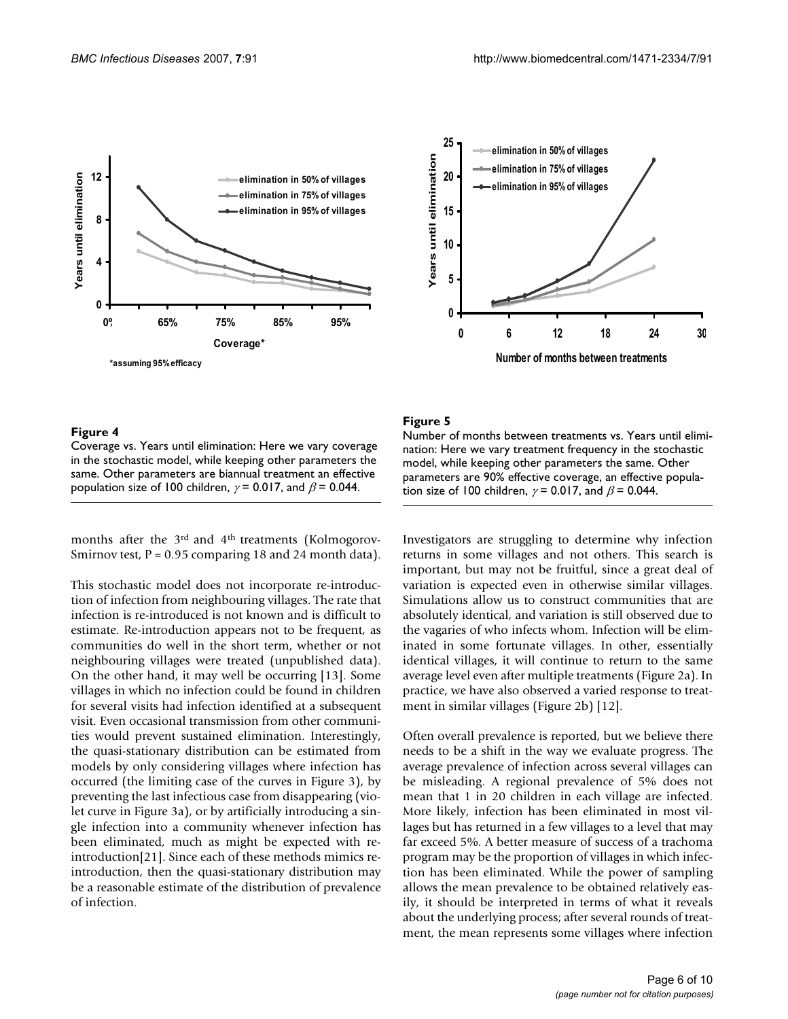



# Figure 4

Coverage vs. Years until elimination: Here we vary coverage in the stochastic model, while keeping other parameters the same. Other parameters are biannual treatment an effective population size of 100 children,  $\gamma$  = 0.017, and  $\beta$  = 0.044.

months after the 3<sup>rd</sup> and 4<sup>th</sup> treatments (Kolmogorov-Smirnov test,  $P = 0.95$  comparing 18 and 24 month data).

This stochastic model does not incorporate re-introduction of infection from neighbouring villages. The rate that infection is re-introduced is not known and is difficult to estimate. Re-introduction appears not to be frequent, as communities do well in the short term, whether or not neighbouring villages were treated (unpublished data). On the other hand, it may well be occurring [13]. Some villages in which no infection could be found in children for several visits had infection identified at a subsequent visit. Even occasional transmission from other communities would prevent sustained elimination. Interestingly, the quasi-stationary distribution can be estimated from models by only considering villages where infection has occurred (the limiting case of the curves in Figure 3), by preventing the last infectious case from disappearing (violet curve in Figure 3a), or by artificially introducing a single infection into a community whenever infection has been eliminated, much as might be expected with reintroduction[21]. Since each of these methods mimics reintroduction, then the quasi-stationary distribution may be a reasonable estimate of the distribution of prevalence of infection.

# Figure 5

Number of months between treatments vs. Years until elimination: Here we vary treatment frequency in the stochastic model, while keeping other parameters the same. Other parameters are 90% effective coverage, an effective population size of 100 children,  $\gamma$  = 0.017, and  $\beta$  = 0.044.

Investigators are struggling to determine why infection returns in some villages and not others. This search is important, but may not be fruitful, since a great deal of variation is expected even in otherwise similar villages. Simulations allow us to construct communities that are absolutely identical, and variation is still observed due to the vagaries of who infects whom. Infection will be eliminated in some fortunate villages. In other, essentially identical villages, it will continue to return to the same average level even after multiple treatments (Figure 2a). In practice, we have also observed a varied response to treatment in similar villages (Figure 2b) [12].

Often overall prevalence is reported, but we believe there needs to be a shift in the way we evaluate progress. The average prevalence of infection across several villages can be misleading. A regional prevalence of 5% does not mean that 1 in 20 children in each village are infected. More likely, infection has been eliminated in most villages but has returned in a few villages to a level that may far exceed 5%. A better measure of success of a trachoma program may be the proportion of villages in which infection has been eliminated. While the power of sampling allows the mean prevalence to be obtained relatively easily, it should be interpreted in terms of what it reveals about the underlying process; after several rounds of treatment, the mean represents some villages where infection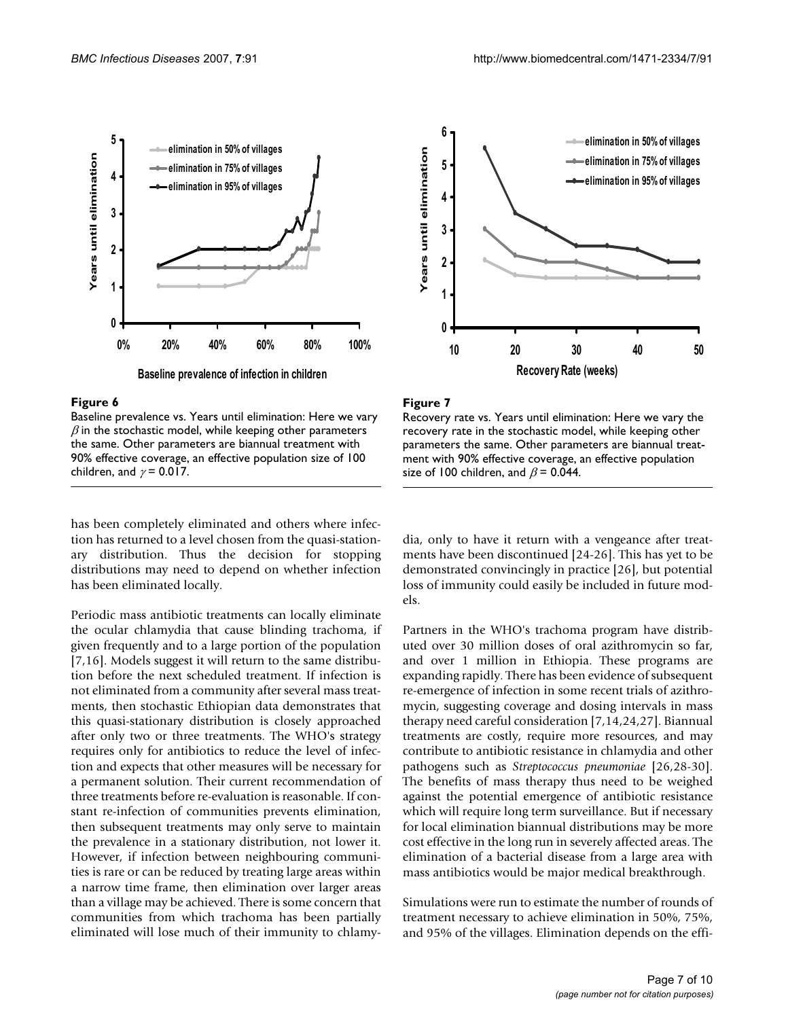



### Figure 6

Baseline prevalence vs. Years until elimination: Here we vary  $\beta$  in the stochastic model, while keeping other parameters the same. Other parameters are biannual treatment with 90% effective coverage, an effective population size of 100 children, and  $\gamma$  = 0.017.

has been completely eliminated and others where infection has returned to a level chosen from the quasi-stationary distribution. Thus the decision for stopping distributions may need to depend on whether infection has been eliminated locally.

Periodic mass antibiotic treatments can locally eliminate the ocular chlamydia that cause blinding trachoma, if given frequently and to a large portion of the population [7,16]. Models suggest it will return to the same distribution before the next scheduled treatment. If infection is not eliminated from a community after several mass treatments, then stochastic Ethiopian data demonstrates that this quasi-stationary distribution is closely approached after only two or three treatments. The WHO's strategy requires only for antibiotics to reduce the level of infection and expects that other measures will be necessary for a permanent solution. Their current recommendation of three treatments before re-evaluation is reasonable. If constant re-infection of communities prevents elimination, then subsequent treatments may only serve to maintain the prevalence in a stationary distribution, not lower it. However, if infection between neighbouring communities is rare or can be reduced by treating large areas within a narrow time frame, then elimination over larger areas than a village may be achieved. There is some concern that communities from which trachoma has been partially eliminated will lose much of their immunity to chlamy-



#### **Figure 7**

Recovery rate vs. Years until elimination: Here we vary the recovery rate in the stochastic model, while keeping other parameters the same. Other parameters are biannual treatment with 90% effective coverage, an effective population size of 100 children, and  $\beta$  = 0.044.

dia, only to have it return with a vengeance after treatments have been discontinued [24-26]. This has yet to be demonstrated convincingly in practice [26], but potential loss of immunity could easily be included in future models.

Partners in the WHO's trachoma program have distributed over 30 million doses of oral azithromycin so far, and over 1 million in Ethiopia. These programs are expanding rapidly. There has been evidence of subsequent re-emergence of infection in some recent trials of azithromycin, suggesting coverage and dosing intervals in mass therapy need careful consideration [7,14,24,27]. Biannual treatments are costly, require more resources, and may contribute to antibiotic resistance in chlamydia and other pathogens such as *Streptococcus pneumoniae* [26,28-30]. The benefits of mass therapy thus need to be weighed against the potential emergence of antibiotic resistance which will require long term surveillance. But if necessary for local elimination biannual distributions may be more cost effective in the long run in severely affected areas. The elimination of a bacterial disease from a large area with mass antibiotics would be major medical breakthrough.

Simulations were run to estimate the number of rounds of treatment necessary to achieve elimination in 50%, 75%, and 95% of the villages. Elimination depends on the effi-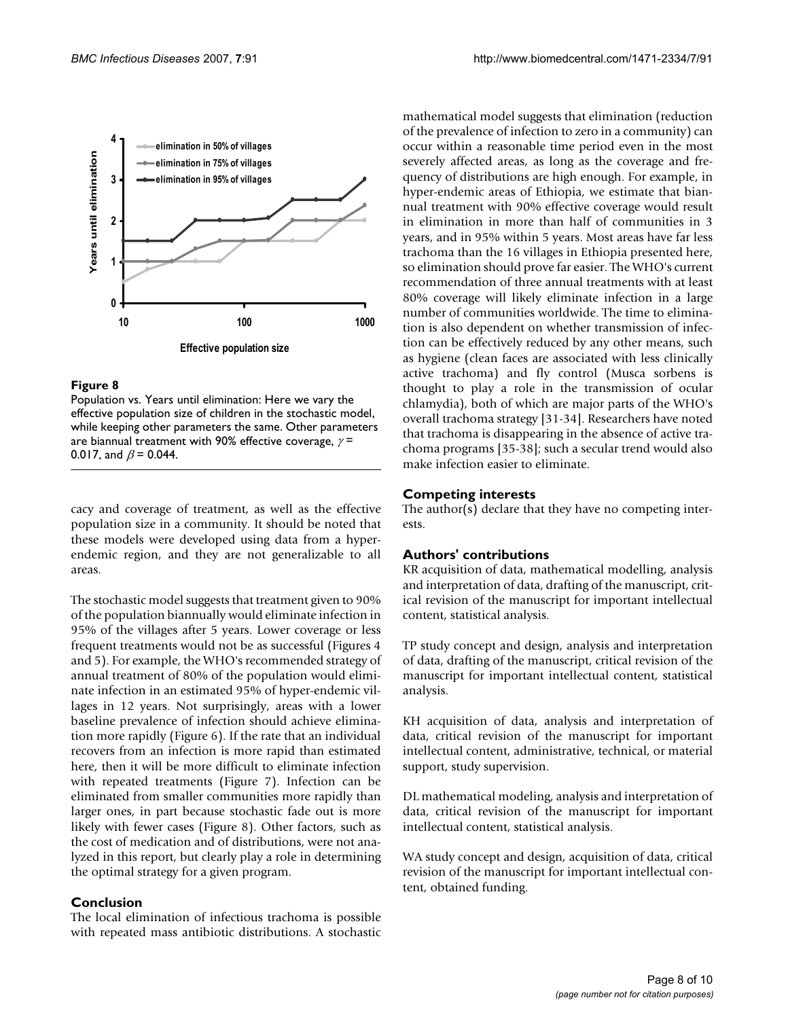

# **Figure 8**

Population vs. Years until elimination: Here we vary the effective population size of children in the stochastic model, while keeping other parameters the same. Other parameters are biannual treatment with 90% effective coverage,  $\gamma$  = 0.017, and  $\beta$  = 0.044.

cacy and coverage of treatment, as well as the effective population size in a community. It should be noted that these models were developed using data from a hyperendemic region, and they are not generalizable to all areas.

The stochastic model suggests that treatment given to 90% of the population biannually would eliminate infection in 95% of the villages after 5 years. Lower coverage or less frequent treatments would not be as successful (Figures 4 and 5). For example, the WHO's recommended strategy of annual treatment of 80% of the population would eliminate infection in an estimated 95% of hyper-endemic villages in 12 years. Not surprisingly, areas with a lower baseline prevalence of infection should achieve elimination more rapidly (Figure 6). If the rate that an individual recovers from an infection is more rapid than estimated here, then it will be more difficult to eliminate infection with repeated treatments (Figure 7). Infection can be eliminated from smaller communities more rapidly than larger ones, in part because stochastic fade out is more likely with fewer cases (Figure 8). Other factors, such as the cost of medication and of distributions, were not analyzed in this report, but clearly play a role in determining the optimal strategy for a given program.

# **Conclusion**

The local elimination of infectious trachoma is possible with repeated mass antibiotic distributions. A stochastic mathematical model suggests that elimination (reduction of the prevalence of infection to zero in a community) can occur within a reasonable time period even in the most severely affected areas, as long as the coverage and frequency of distributions are high enough. For example, in hyper-endemic areas of Ethiopia, we estimate that biannual treatment with 90% effective coverage would result in elimination in more than half of communities in 3 years, and in 95% within 5 years. Most areas have far less trachoma than the 16 villages in Ethiopia presented here, so elimination should prove far easier. The WHO's current recommendation of three annual treatments with at least 80% coverage will likely eliminate infection in a large number of communities worldwide. The time to elimination is also dependent on whether transmission of infection can be effectively reduced by any other means, such as hygiene (clean faces are associated with less clinically active trachoma) and fly control (Musca sorbens is thought to play a role in the transmission of ocular chlamydia), both of which are major parts of the WHO's overall trachoma strategy [31-34]. Researchers have noted that trachoma is disappearing in the absence of active trachoma programs [35-38]; such a secular trend would also make infection easier to eliminate.

# **Competing interests**

The author(s) declare that they have no competing interests.

# **Authors' contributions**

KR acquisition of data, mathematical modelling, analysis and interpretation of data, drafting of the manuscript, critical revision of the manuscript for important intellectual content, statistical analysis.

TP study concept and design, analysis and interpretation of data, drafting of the manuscript, critical revision of the manuscript for important intellectual content, statistical analysis.

KH acquisition of data, analysis and interpretation of data, critical revision of the manuscript for important intellectual content, administrative, technical, or material support, study supervision.

DL mathematical modeling, analysis and interpretation of data, critical revision of the manuscript for important intellectual content, statistical analysis.

WA study concept and design, acquisition of data, critical revision of the manuscript for important intellectual content, obtained funding.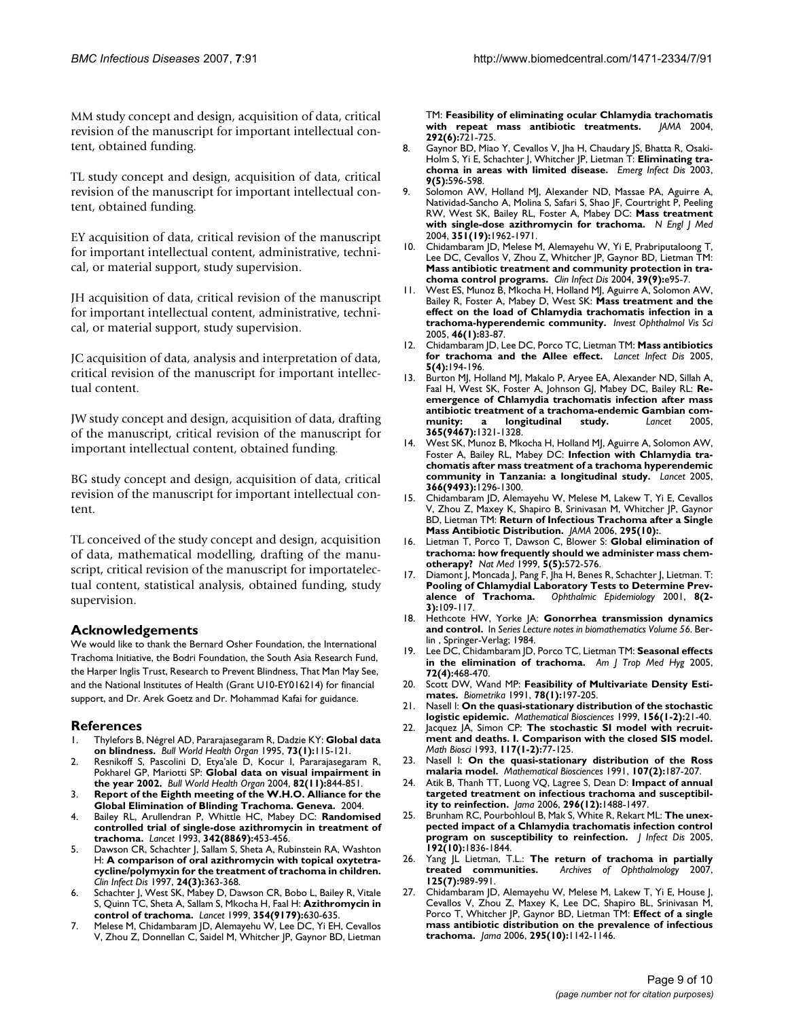MM study concept and design, acquisition of data, critical revision of the manuscript for important intellectual content, obtained funding.

TL study concept and design, acquisition of data, critical revision of the manuscript for important intellectual content, obtained funding.

EY acquisition of data, critical revision of the manuscript for important intellectual content, administrative, technical, or material support, study supervision.

JH acquisition of data, critical revision of the manuscript for important intellectual content, administrative, technical, or material support, study supervision.

JC acquisition of data, analysis and interpretation of data, critical revision of the manuscript for important intellectual content.

JW study concept and design, acquisition of data, drafting of the manuscript, critical revision of the manuscript for important intellectual content, obtained funding.

BG study concept and design, acquisition of data, critical revision of the manuscript for important intellectual content.

TL conceived of the study concept and design, acquisition of data, mathematical modelling, drafting of the manuscript, critical revision of the manuscript for importatelectual content, statistical analysis, obtained funding, study supervision.

# **Acknowledgements**

We would like to thank the Bernard Osher Foundation, the International Trachoma Initiative, the Bodri Foundation, the South Asia Research Fund, the Harper Inglis Trust, Research to Prevent Blindness, That Man May See, and the National Institutes of Health (Grant U10-EY016214) for financial support, and Dr. Arek Goetz and Dr. Mohammad Kafai for guidance.

# **References**

- 1. Thylefors B, Négrel AD, Pararajasegaram R, Dadzie KY: **[Global data](http://www.ncbi.nlm.nih.gov/entrez/query.fcgi?cmd=Retrieve&db=PubMed&dopt=Abstract&list_uids=7704921) [on blindness.](http://www.ncbi.nlm.nih.gov/entrez/query.fcgi?cmd=Retrieve&db=PubMed&dopt=Abstract&list_uids=7704921)** *Bull World Health Organ* 1995, **73(1):**115-121.
- 2. Resnikoff S, Pascolini D, Etya'ale D, Kocur I, Pararajasegaram R, Pokharel GP, Mariotti SP: **[Global data on visual impairment in](http://www.ncbi.nlm.nih.gov/entrez/query.fcgi?cmd=Retrieve&db=PubMed&dopt=Abstract&list_uids=15640920) [the year 2002.](http://www.ncbi.nlm.nih.gov/entrez/query.fcgi?cmd=Retrieve&db=PubMed&dopt=Abstract&list_uids=15640920)** *Bull World Health Organ* 2004, **82(11):**844-851.
- 3. **Report of the Eighth meeting of the W.H.O. Alliance for the Global Elimination of Blinding Trachoma. Geneva.** 2004.
- 4. Bailey RL, Arullendran P, Whittle HC, Mabey DC: **[Randomised](http://www.ncbi.nlm.nih.gov/entrez/query.fcgi?cmd=Retrieve&db=PubMed&dopt=Abstract&list_uids=8102427) [controlled trial of single-dose azithromycin in treatment of](http://www.ncbi.nlm.nih.gov/entrez/query.fcgi?cmd=Retrieve&db=PubMed&dopt=Abstract&list_uids=8102427) [trachoma.](http://www.ncbi.nlm.nih.gov/entrez/query.fcgi?cmd=Retrieve&db=PubMed&dopt=Abstract&list_uids=8102427)** *Lancet* 1993, **342(8869):**453-456.
- 5. Dawson CR, Schachter J, Sallam S, Sheta A, Rubinstein RA, Washton H: **[A comparison of oral azithromycin with topical oxytetra](http://www.ncbi.nlm.nih.gov/entrez/query.fcgi?cmd=Retrieve&db=PubMed&dopt=Abstract&list_uids=9114186)[cycline/polymyxin for the treatment of trachoma in children.](http://www.ncbi.nlm.nih.gov/entrez/query.fcgi?cmd=Retrieve&db=PubMed&dopt=Abstract&list_uids=9114186)** *Clin Infect Dis* 1997, **24(3):**363-368.
- 6. Schachter J, West SK, Mabey D, Dawson CR, Bobo L, Bailey R, Vitale S, Quinn TC, Sheta A, Sallam S, Mkocha H, Faal H: **[Azithromycin in](http://www.ncbi.nlm.nih.gov/entrez/query.fcgi?cmd=Retrieve&db=PubMed&dopt=Abstract&list_uids=10466664) [control of trachoma.](http://www.ncbi.nlm.nih.gov/entrez/query.fcgi?cmd=Retrieve&db=PubMed&dopt=Abstract&list_uids=10466664)** *Lancet* 1999, **354(9179):**630-635.
- 7. Melese M, Chidambaram JD, Alemayehu W, Lee DC, Yi EH, Cevallos V, Zhou Z, Donnellan C, Saidel M, Whitcher JP, Gaynor BD, Lietman

TM: **[Feasibility of eliminating ocular Chlamydia trachomatis](http://www.ncbi.nlm.nih.gov/entrez/query.fcgi?cmd=Retrieve&db=PubMed&dopt=Abstract&list_uids=15304470) [with repeat mass antibiotic treatments.](http://www.ncbi.nlm.nih.gov/entrez/query.fcgi?cmd=Retrieve&db=PubMed&dopt=Abstract&list_uids=15304470)** *JAMA* 2004, **292(6):**721-725.

- 8. Gaynor BD, Miao Y, Cevallos V, Jha H, Chaudary JS, Bhatta R, Osaki-Holm S, Yi E, Schachter J, Whitcher JP, Lietman T: **[Eliminating tra](http://www.ncbi.nlm.nih.gov/entrez/query.fcgi?cmd=Retrieve&db=PubMed&dopt=Abstract&list_uids=12737745)[choma in areas with limited disease.](http://www.ncbi.nlm.nih.gov/entrez/query.fcgi?cmd=Retrieve&db=PubMed&dopt=Abstract&list_uids=12737745)** *Emerg Infect Dis* 2003, **9(5):**596-598.
- 9. Solomon AW, Holland MJ, Alexander ND, Massae PA, Aguirre A, Natividad-Sancho A, Molina S, Safari S, Shao JF, Courtright P, Peeling RW, West SK, Bailey RL, Foster A, Mabey DC: **[Mass treatment](http://www.ncbi.nlm.nih.gov/entrez/query.fcgi?cmd=Retrieve&db=PubMed&dopt=Abstract&list_uids=15525721) [with single-dose azithromycin for trachoma.](http://www.ncbi.nlm.nih.gov/entrez/query.fcgi?cmd=Retrieve&db=PubMed&dopt=Abstract&list_uids=15525721)** *N Engl J Med* 2004, **351(19):**1962-1971.
- 10. Chidambaram JD, Melese M, Alemayehu W, Yi E, Prabriputaloong T, Lee DC, Cevallos V, Zhou Z, Whitcher JP, Gaynor BD, Lietman TM: **[Mass antibiotic treatment and community protection in tra](http://www.ncbi.nlm.nih.gov/entrez/query.fcgi?cmd=Retrieve&db=PubMed&dopt=Abstract&list_uids=15494901)[choma control programs.](http://www.ncbi.nlm.nih.gov/entrez/query.fcgi?cmd=Retrieve&db=PubMed&dopt=Abstract&list_uids=15494901)** *Clin Infect Dis* 2004, **39(9):**e95-7.
- 11. West ES, Munoz B, Mkocha H, Holland MJ, Aguirre A, Solomon AW, Bailey R, Foster A, Mabey D, West SK: **[Mass treatment and the](http://www.ncbi.nlm.nih.gov/entrez/query.fcgi?cmd=Retrieve&db=PubMed&dopt=Abstract&list_uids=15623758) [effect on the load of Chlamydia trachomatis infection in a](http://www.ncbi.nlm.nih.gov/entrez/query.fcgi?cmd=Retrieve&db=PubMed&dopt=Abstract&list_uids=15623758) [trachoma-hyperendemic community.](http://www.ncbi.nlm.nih.gov/entrez/query.fcgi?cmd=Retrieve&db=PubMed&dopt=Abstract&list_uids=15623758)** *Invest Ophthalmol Vis Sci* 2005, **46(1):**83-87.
- 12. Chidambaram JD, Lee DC, Porco TC, Lietman TM: **[Mass antibiotics](http://www.ncbi.nlm.nih.gov/entrez/query.fcgi?cmd=Retrieve&db=PubMed&dopt=Abstract&list_uids=15792732) [for trachoma and the Allee effect.](http://www.ncbi.nlm.nih.gov/entrez/query.fcgi?cmd=Retrieve&db=PubMed&dopt=Abstract&list_uids=15792732)** *Lancet Infect Dis* 2005, **5(4):**194-196.
- 13. Burton MJ, Holland MJ, Makalo P, Aryee EA, Alexander ND, Sillah A, Faal H, West SK, Foster A, Johnson GJ, Mabey DC, Bailey RL: **[Re](http://www.ncbi.nlm.nih.gov/entrez/query.fcgi?cmd=Retrieve&db=PubMed&dopt=Abstract&list_uids=15823382)emergence of Chlamydia trachomatis infection after mass [antibiotic treatment of a trachoma-endemic Gambian com](http://www.ncbi.nlm.nih.gov/entrez/query.fcgi?cmd=Retrieve&db=PubMed&dopt=Abstract&list_uids=15823382)[munity: a longitudinal study.](http://www.ncbi.nlm.nih.gov/entrez/query.fcgi?cmd=Retrieve&db=PubMed&dopt=Abstract&list_uids=15823382)** *Lancet* 2005, **365(9467):**1321-1328.
- 14. West SK, Munoz B, Mkocha H, Holland MJ, Aguirre A, Solomon AW, Foster A, Bailey RL, Mabey DC: **[Infection with Chlamydia tra](http://www.ncbi.nlm.nih.gov/entrez/query.fcgi?cmd=Retrieve&db=PubMed&dopt=Abstract&list_uids=16214600)[chomatis after mass treatment of a trachoma hyperendemic](http://www.ncbi.nlm.nih.gov/entrez/query.fcgi?cmd=Retrieve&db=PubMed&dopt=Abstract&list_uids=16214600) [community in Tanzania: a longitudinal study.](http://www.ncbi.nlm.nih.gov/entrez/query.fcgi?cmd=Retrieve&db=PubMed&dopt=Abstract&list_uids=16214600)** *Lancet* 2005, **366(9493):**1296-1300.
- 15. Chidambaram JD, Alemayehu W, Melese M, Lakew T, Yi E, Cevallos V, Zhou Z, Maxey K, Shapiro B, Srinivasan M, Whitcher JP, Gaynor BD, Lietman TM: **[Return of Infectious Trachoma after a Single](http://www.ncbi.nlm.nih.gov/entrez/query.fcgi?cmd=Retrieve&db=PubMed&dopt=Abstract&list_uids=16522834) [Mass Antibiotic Distribution.](http://www.ncbi.nlm.nih.gov/entrez/query.fcgi?cmd=Retrieve&db=PubMed&dopt=Abstract&list_uids=16522834)** *JAMA* 2006, **295(10):**.
- 16. Lietman T, Porco T, Dawson C, Blower S: **[Global elimination of](http://www.ncbi.nlm.nih.gov/entrez/query.fcgi?cmd=Retrieve&db=PubMed&dopt=Abstract&list_uids=10229236) [trachoma: how frequently should we administer mass chem](http://www.ncbi.nlm.nih.gov/entrez/query.fcgi?cmd=Retrieve&db=PubMed&dopt=Abstract&list_uids=10229236)[otherapy?](http://www.ncbi.nlm.nih.gov/entrez/query.fcgi?cmd=Retrieve&db=PubMed&dopt=Abstract&list_uids=10229236)** *Nat Med* 1999, **5(5):**572-576.
- 17. Diamont J, Moncada J, Pang F, Jha H, Benes R, Schachter J, Lietman. T: **Pooling of Chlamydial Laboratory Tests to Determine Prev-<br>alence of Trachoma.** Ophthalmic Epidemiology 2001, 8(2**[alence of Trachoma.](http://www.ncbi.nlm.nih.gov/entrez/query.fcgi?cmd=Retrieve&db=PubMed&dopt=Abstract&list_uids=11471080)** *Ophthalmic Epidemiology* 2001, **8(2- 3):**109-117.
- 18. Hethcote HW, Yorke JA: **Gonorrhea transmission dynamics and control.** In *Series Lecture notes in biomathematics Volume 56*. Berlin , Springer-Verlag; 1984.
- 19. Lee DC, Chidambaram JD, Porco TC, Lietman TM: **[Seasonal effects](http://www.ncbi.nlm.nih.gov/entrez/query.fcgi?cmd=Retrieve&db=PubMed&dopt=Abstract&list_uids=15827288) [in the elimination of trachoma.](http://www.ncbi.nlm.nih.gov/entrez/query.fcgi?cmd=Retrieve&db=PubMed&dopt=Abstract&list_uids=15827288)** *Am J Trop Med Hyg* 2005, **72(4):**468-470.
- 20. Scott DW, Wand MP: **Feasibility of Multivariate Density Estimates.** *Biometrika* 1991, **78(1):**197-205.
- 21. Nasell I: **[On the quasi-stationary distribution of the stochastic](http://www.ncbi.nlm.nih.gov/entrez/query.fcgi?cmd=Retrieve&db=PubMed&dopt=Abstract&list_uids=10204386) [logistic epidemic.](http://www.ncbi.nlm.nih.gov/entrez/query.fcgi?cmd=Retrieve&db=PubMed&dopt=Abstract&list_uids=10204386)** *Mathematical Biosciences* 1999, **156(1-2):**21-40.
- 22. Jacquez JA, Simon CP: **[The stochastic SI model with recruit](http://www.ncbi.nlm.nih.gov/entrez/query.fcgi?cmd=Retrieve&db=PubMed&dopt=Abstract&list_uids=8400585)[ment and deaths. I. Comparison with the closed SIS model.](http://www.ncbi.nlm.nih.gov/entrez/query.fcgi?cmd=Retrieve&db=PubMed&dopt=Abstract&list_uids=8400585)** *Math Biosci* 1993, **117(1-2):**77-125.
- 23. Nasell I: **[On the quasi-stationary distribution of the Ross](http://www.ncbi.nlm.nih.gov/entrez/query.fcgi?cmd=Retrieve&db=PubMed&dopt=Abstract&list_uids=1806113) [malaria model.](http://www.ncbi.nlm.nih.gov/entrez/query.fcgi?cmd=Retrieve&db=PubMed&dopt=Abstract&list_uids=1806113)** *Mathematical Biosciences* 1991, **107(2):**187-207.
- 24. Atik B, Thanh TT, Luong VQ, Lagree S, Dean D: **[Impact of annual](http://www.ncbi.nlm.nih.gov/entrez/query.fcgi?cmd=Retrieve&db=PubMed&dopt=Abstract&list_uids=17003397) [targeted treatment on infectious trachoma and susceptibil](http://www.ncbi.nlm.nih.gov/entrez/query.fcgi?cmd=Retrieve&db=PubMed&dopt=Abstract&list_uids=17003397)[ity to reinfection.](http://www.ncbi.nlm.nih.gov/entrez/query.fcgi?cmd=Retrieve&db=PubMed&dopt=Abstract&list_uids=17003397)** *Jama* 2006, **296(12):**1488-1497.
- 25. Brunham RC, Pourbohloul B, Mak S, White R, Rekart ML: **[The unex](http://www.ncbi.nlm.nih.gov/entrez/query.fcgi?cmd=Retrieve&db=PubMed&dopt=Abstract&list_uids=16235186)[pected impact of a Chlamydia trachomatis infection control](http://www.ncbi.nlm.nih.gov/entrez/query.fcgi?cmd=Retrieve&db=PubMed&dopt=Abstract&list_uids=16235186) [program on susceptibility to reinfection.](http://www.ncbi.nlm.nih.gov/entrez/query.fcgi?cmd=Retrieve&db=PubMed&dopt=Abstract&list_uids=16235186)** *J Infect Dis* 2005, **192(10):**1836-1844.
- 26. Yang JL Lietman, T.L.: **[The return of trachoma in partially](http://www.ncbi.nlm.nih.gov/entrez/query.fcgi?cmd=Retrieve&db=PubMed&dopt=Abstract&list_uids=17620592)** Archives of Ophthalmology 2007, **125(7):**989-991.
- Chidambaram JD, Alemayehu W, Melese M, Lakew T, Yi E, House J, Cevallos V, Zhou Z, Maxey K, Lee DC, Shapiro BL, Srinivasan M, Porco T, Whitcher JP, Gaynor BD, Lietman TM: **[Effect of a single](http://www.ncbi.nlm.nih.gov/entrez/query.fcgi?cmd=Retrieve&db=PubMed&dopt=Abstract&list_uids=16522834) [mass antibiotic distribution on the prevalence of infectious](http://www.ncbi.nlm.nih.gov/entrez/query.fcgi?cmd=Retrieve&db=PubMed&dopt=Abstract&list_uids=16522834) [trachoma.](http://www.ncbi.nlm.nih.gov/entrez/query.fcgi?cmd=Retrieve&db=PubMed&dopt=Abstract&list_uids=16522834)** *Jama* 2006, **295(10):**1142-1146.